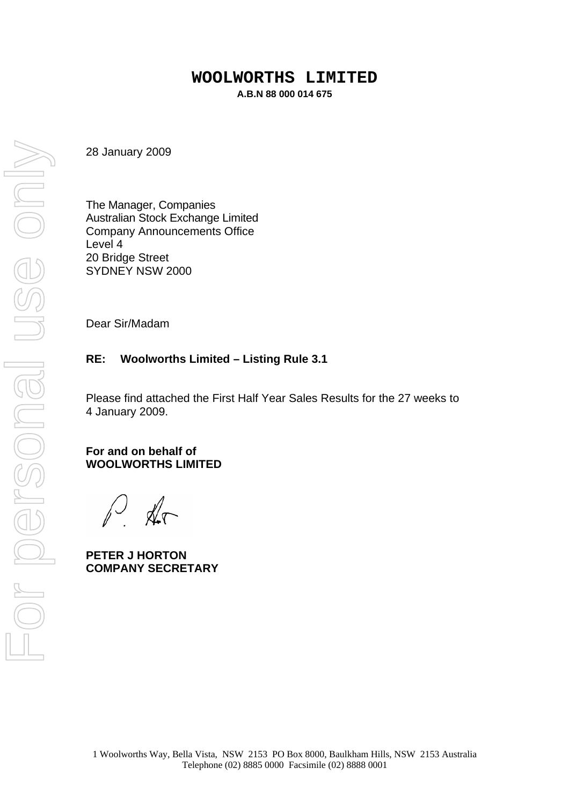#### **WOOLWORTHS LIMITED A.B.N 88 000 014 675**

28 January 2009

The Manager, Companies Australian Stock Exchange Limited Company Announcements Office Level 4 20 Bridge Street SYDNEY NSW 2000

Dear Sir/Madam

#### **RE: Woolworths Limited – Listing Rule 3.1**

Please find attached the First Half Year Sales Results for the 27 weeks to 4 January 2009.

#### **For and on behalf of WOOLWORTHS LIMITED**

 $\mathbb{A}$ 

**PETER J HORTON COMPANY SECRETARY**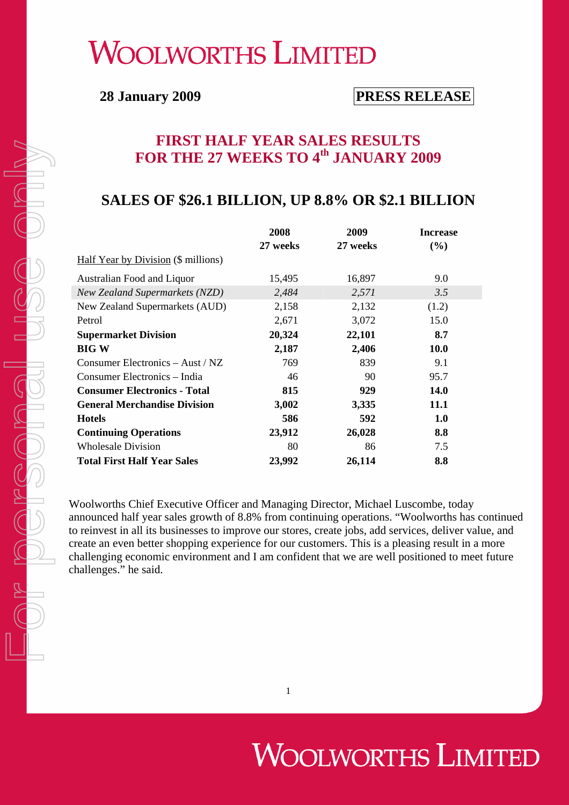## **WOOLWORTHS LIMITED**

## **28 January 2009 PRESS RELEASE**

## **FIRST HALF YEAR SALES RESULTS FOR THE 27 WEEKS TO 4th JANUARY 2009**

### **SALES OF \$26.1 BILLION, UP 8.8% OR \$2.1 BILLION**

|                                       | 2008<br>27 weeks | 2009<br>27 weeks | <b>Increase</b><br>(%) |
|---------------------------------------|------------------|------------------|------------------------|
| Half Year by Division (\$ millions)   |                  |                  |                        |
| Australian Food and Liquor            | 15,495           | 16,897           | 9.0                    |
| <b>New Zealand Supermarkets (NZD)</b> | 2,484            | 2,571            | 3.5                    |
| New Zealand Supermarkets (AUD)        | 2,158            | 2,132            | (1.2)                  |
| Petrol                                | 2,671            | 3,072            | 15.0                   |
| <b>Supermarket Division</b>           | 20,324           | 22,101           | 8.7                    |
| <b>BIG W</b>                          | 2,187            | 2,406            | <b>10.0</b>            |
| Consumer Electronics $-$ Aust / NZ    | 769              | 839              | 9.1                    |
| Consumer Electronics - India          | 46               | 90               | 95.7                   |
| <b>Consumer Electronics - Total</b>   | 815              | 929              | <b>14.0</b>            |
| <b>General Merchandise Division</b>   | 3,002            | 3,335            | <b>11.1</b>            |
| <b>Hotels</b>                         | 586              | 592              | 1.0                    |
| <b>Continuing Operations</b>          | 23,912           | 26,028           | 8.8                    |
| <b>Wholesale Division</b>             | 80               | 86               | 7.5                    |
| <b>Total First Half Year Sales</b>    | 23,992           | 26,114           | 8.8                    |

Woolworths Chief Executive Officer and Managing Director, Michael Luscombe, today announced half year sales growth of 8.8% from continuing operations. "Woolworths has continued to reinvest in all its businesses to improve our stores, create jobs, add services, deliver value, and create an even better shopping experience for our customers. This is a pleasing result in a more challenging economic environment and I am confident that we are well positioned to meet future challenges." he said.

1

# **WOOLWORTHS LIMITED**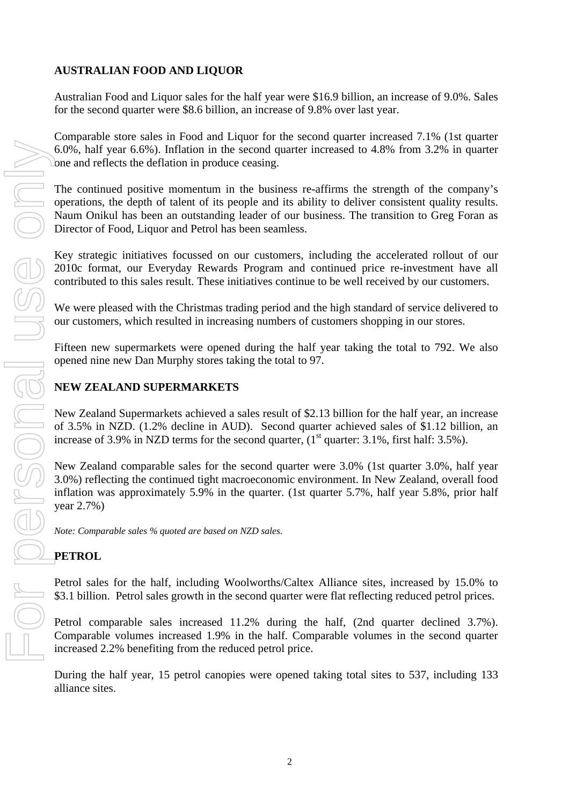#### **AUSTRALIAN FOOD AND LIQUOR**

Australian Food and Liquor sales for the half year were \$16.9 billion, an increase of 9.0%. Sales for the second quarter were \$8.6 billion, an increase of 9.8% over last year.

Comparable store sales in Food and Liquor for the second quarter increased 7.1% (1st quarter 6.0%, half year 6.6%). Inflation in the second quarter increased to 4.8% from 3.2% in quarter one and reflects the deflation in produce ceasing.

The continued positive momentum in the business re-affirms the strength of the company's operations, the depth of talent of its people and its ability to deliver consistent quality results. Naum Onikul has been an outstanding leader of our business. The transition to Greg Foran as Director of Food, Liquor and Petrol has been seamless.

Key strategic initiatives focussed on our customers, including the accelerated rollout of our 2010c format, our Everyday Rewards Program and continued price re-investment have all contributed to this sales result. These initiatives continue to be well received by our customers.

We were pleased with the Christmas trading period and the high standard of service delivered to our customers, which resulted in increasing numbers of customers shopping in our stores.

Fifteen new supermarkets were opened during the half year taking the total to 792. We also opened nine new Dan Murphy stores taking the total to 97.

#### **NEW ZEALAND SUPERMARKETS**

New Zealand Supermarkets achieved a sales result of \$2.13 billion for the half year, an increase of 3.5% in NZD. (1.2% decline in AUD). Second quarter achieved sales of \$1.12 billion, an increase of 3.9% in NZD terms for the second quarter,  $(1<sup>st</sup>$  quarter: 3.1%, first half: 3.5%).

New Zealand comparable sales for the second quarter were 3.0% (1st quarter 3.0%, half year 3.0%) reflecting the continued tight macroeconomic environment. In New Zealand, overall food inflation was approximately 5.9% in the quarter. (1st quarter 5.7%, half year 5.8%, prior half year 2.7%)

*Note: Comparable sales % quoted are based on NZD sales.* 

#### **PETROL**

Petrol sales for the half, including Woolworths/Caltex Alliance sites, increased by 15.0% to \$3.1 billion. Petrol sales growth in the second quarter were flat reflecting reduced petrol prices.

Petrol comparable sales increased 11.2% during the half, (2nd quarter declined 3.7%). Comparable volumes increased 1.9% in the half. Comparable volumes in the second quarter increased 2.2% benefiting from the reduced petrol price.

During the half year, 15 petrol canopies were opened taking total sites to 537, including 133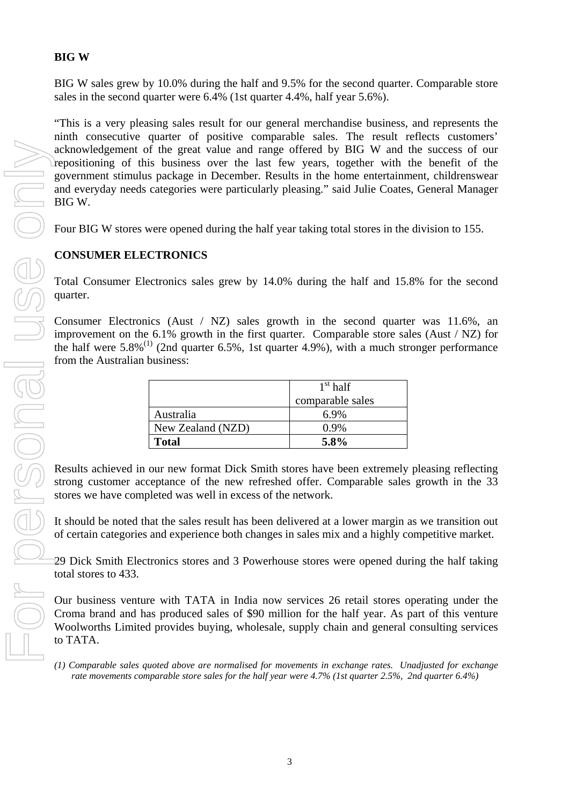#### **BIG W**

BIG W sales grew by 10.0% during the half and 9.5% for the second quarter. Comparable store sales in the second quarter were 6.4% (1st quarter 4.4%, half year 5.6%).

"This is a very pleasing sales result for our general merchandise business, and represents the ninth consecutive quarter of positive comparable sales. The result reflects customers' acknowledgement of the great value and range offered by BIG W and the success of our repositioning of this business over the last few years, together with the benefit of the government stimulus package in December. Results in the home entertainment, childrenswear and everyday needs categories were particularly pleasing." said Julie Coates, General Manager BIG W. **Example 3** Comparable sales are not personal comparable sales are not are not are normalized for movements in the second and except power are normalized for movements in the second and every sales are normalized for movem

Four BIG W stores were opened during the half year taking total stores in the division to 155.

#### **CONSUMER ELECTRONICS**

Total Consumer Electronics sales grew by 14.0% during the half and 15.8% for the second quarter.

Consumer Electronics (Aust / NZ) sales growth in the second quarter was  $11.6\%$ , an improvement on the 6.1% growth in the first quarter. Comparable store sales (Aust / NZ) for the half were  $5.8\%$ <sup>(1)</sup> (2nd quarter 6.5%, 1st quarter 4.9%), with a much stronger performance from the Australian business:

|                   | $1st$ half       |
|-------------------|------------------|
|                   | comparable sales |
| Australia         | 6.9%             |
| New Zealand (NZD) | $0.9\%$          |
| <b>Total</b>      | 5.8%             |

Results achieved in our new format Dick Smith stores have been extremely pleasing reflecting strong customer acceptance of the new refreshed offer. Comparable sales growth in the 33 stores we have completed was well in excess of the network.

It should be noted that the sales result has been delivered at a lower margin as we transition out of certain categories and experience both changes in sales mix and a highly competitive market.

29 Dick Smith Electronics stores and 3 Powerhouse stores were opened during the half taking total stores to 433.

Our business venture with TATA in India now services 26 retail stores operating under the Croma brand and has produced sales of \$90 million for the half year. As part of this venture Woolworths Limited provides buying, wholesale, supply chain and general consulting services to TATA.

*rate movements comparable store sales for the half year were 4.7% (1st quarter 2.5%, 2nd quarter 6.4%)*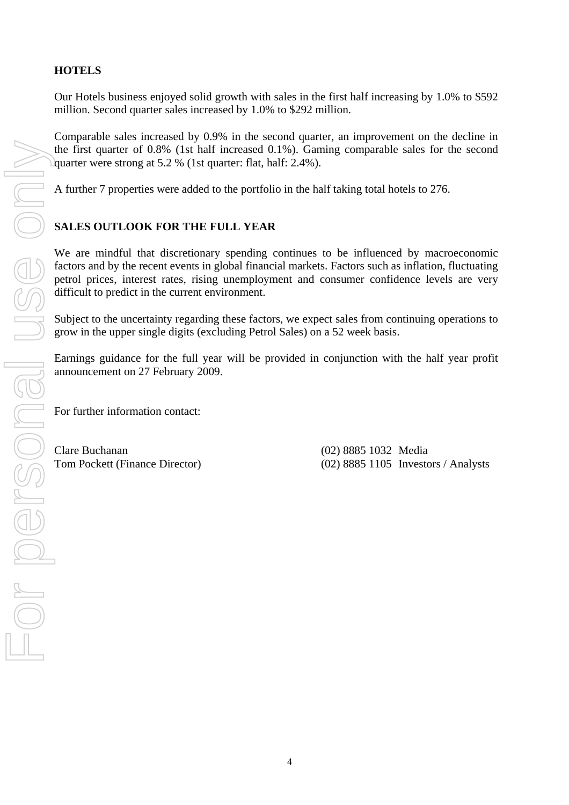#### **HOTELS**

Our Hotels business enjoyed solid growth with sales in the first half increasing by 1.0% to \$592 million. Second quarter sales increased by 1.0% to \$292 million.

Comparable sales increased by 0.9% in the second quarter, an improvement on the decline in the first quarter of 0.8% (1st half increased 0.1%). Gaming comparable sales for the second quarter were strong at 5.2 % (1st quarter: flat, half: 2.4%).

A further 7 properties were added to the portfolio in the half taking total hotels to 276.

#### **SALES OUTLOOK FOR THE FULL YEAR**

We are mindful that discretionary spending continues to be influenced by macroeconomic factors and by the recent events in global financial markets. Factors such as inflation, fluctuating petrol prices, interest rates, rising unemployment and consumer confidence levels are very difficult to predict in the current environment.

Subject to the uncertainty regarding these factors, we expect sales from continuing operations to grow in the upper single digits (excluding Petrol Sales) on a 52 week basis.

Earnings guidance for the full year will be provided in conjunction with the half year profit announcement on 27 February 2009.

For further information contact:

Clare Buchanan (02) 8885 1032 Media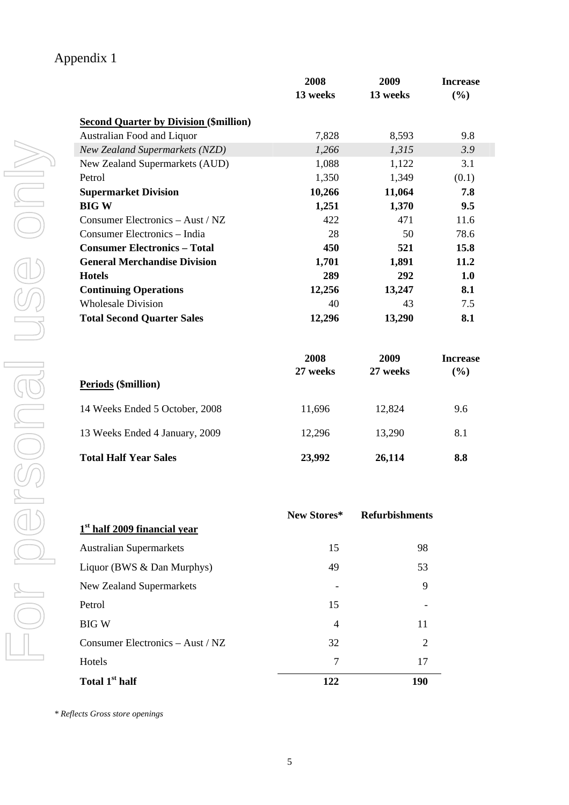|                                               | 2008<br>13 weeks | 2009<br>13 weeks      | <b>Increase</b><br>(%) |
|-----------------------------------------------|------------------|-----------------------|------------------------|
|                                               |                  |                       |                        |
| <b>Second Quarter by Division (\$million)</b> |                  |                       |                        |
| Australian Food and Liquor                    | 7,828            | 8,593                 | 9.8                    |
| New Zealand Supermarkets (NZD)                | 1,266            | 1,315                 | 3.9                    |
| New Zealand Supermarkets (AUD)                | 1,088            | 1,122                 | 3.1                    |
| Petrol<br><b>Supermarket Division</b>         | 1,350<br>10,266  | 1,349<br>11,064       | (0.1)<br>7.8           |
| <b>BIGW</b>                                   | 1,251            | 1,370                 | 9.5                    |
| Consumer Electronics - Aust / NZ              | 422              | 471                   | 11.6                   |
| Consumer Electronics - India                  | 28               | 50                    | 78.6                   |
| <b>Consumer Electronics - Total</b>           | 450              | 521                   | 15.8                   |
| <b>General Merchandise Division</b>           | 1,701            | 1,891                 | 11.2                   |
| <b>Hotels</b>                                 | 289              | 292                   | 1.0                    |
| <b>Continuing Operations</b>                  | 12,256           | 13,247                | 8.1                    |
| <b>Wholesale Division</b>                     | 40               | 43                    | 7.5                    |
| <b>Total Second Quarter Sales</b>             | 12,296           | 13,290                | 8.1                    |
|                                               | 2008             | 2009                  | <b>Increase</b>        |
|                                               | 27 weeks         | 27 weeks              | (%)                    |
| Periods (\$million)                           |                  |                       |                        |
| 14 Weeks Ended 5 October, 2008                | 11,696           | 12,824                | 9.6                    |
| 13 Weeks Ended 4 January, 2009                | 12,296           | 13,290                | 8.1                    |
| <b>Total Half Year Sales</b>                  | 23,992           | 26,114                | 8.8                    |
|                                               |                  |                       |                        |
| $1st$ half 2009 financial year                | New Stores*      | <b>Refurbishments</b> |                        |
| <b>Australian Supermarkets</b>                | 15               | 98                    |                        |
| Liquor (BWS & Dan Murphys)                    | 49               | 53                    |                        |
| New Zealand Supermarkets                      |                  | 9                     |                        |
| Petrol                                        | 15               |                       |                        |
| <b>BIGW</b>                                   | 4                | 11                    |                        |
| Consumer Electronics - Aust / NZ              | 32               | 2                     |                        |
| Hotels                                        | $\tau$           | 17                    |                        |
| Total 1 <sup>st</sup> half                    |                  | <b>190</b>            |                        |

|                                          | New Stores* | <b>Refurbishments</b> |
|------------------------------------------|-------------|-----------------------|
| 1 <sup>st</sup> half 2009 financial year |             |                       |
| <b>Australian Supermarkets</b>           | 15          | 98                    |
| Liquor (BWS & Dan Murphys)               | 49          | 53                    |
| <b>New Zealand Supermarkets</b>          |             | 9                     |
| Petrol                                   | 15          |                       |
| BIG W                                    | 4           | 11                    |
| Consumer Electronics - Aust / NZ         | 32          | 2                     |
| Hotels                                   | 7           | 17                    |
| Total 1 <sup>st</sup> half               | 122         | 190                   |